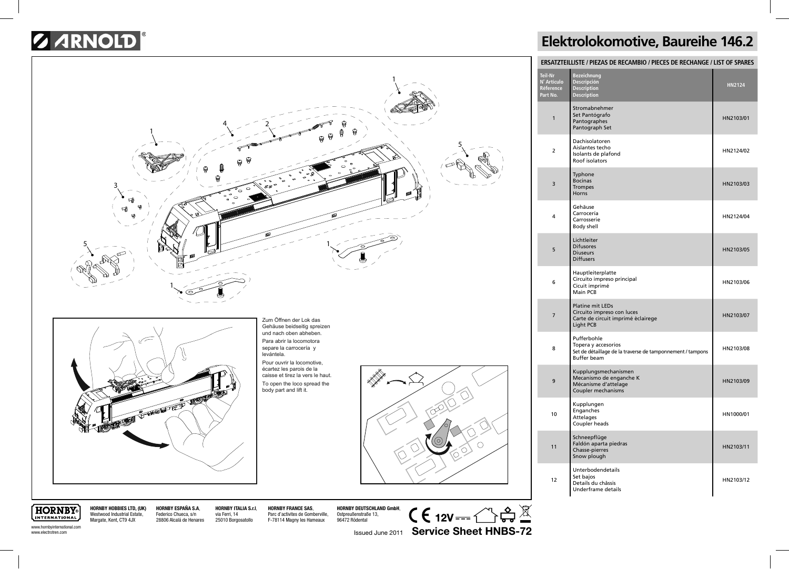## *B ARNOLD*



## **Elektrolokomotive, Baureihe 146.2**

| ERSATZTEILLISTE / PIEZAS DE RECAMBIO / PIECES DE RECHANGE / LIST OF SPARES |                                                                                                                        |           |  |
|----------------------------------------------------------------------------|------------------------------------------------------------------------------------------------------------------------|-----------|--|
| <b>Teil-Nr</b><br>N° Artículo<br>Réference<br>Part No.                     | <b>Bezeichnung</b><br>Descripción<br><b>Description</b><br><b>Description</b>                                          | HN2124    |  |
| 1                                                                          | Stromabnehmer<br>Set Pantógrafo<br>Pantographes<br>Pantograph Set                                                      | HN2103/01 |  |
| $\overline{2}$                                                             | Dachisolatoren<br>Aislantes techo<br>Isolants de plafond<br>Roof isolators                                             | HN2124/02 |  |
| 3                                                                          | Typhone<br><b>Bocinas</b><br><b>Trompes</b><br>Horns                                                                   | HN2103/03 |  |
| 4                                                                          | Gehäuse<br>Carrocería<br>Carrosserie<br>Body shell                                                                     | HN2124/04 |  |
| 5                                                                          | Lichtleiter<br><b>Difusores</b><br><b>Diuseurs</b><br><b>Diffusers</b>                                                 | HN2103/05 |  |
| 6                                                                          | Hauptleiterplatte<br>Circuito impreso principal<br>Cicuit imprimé<br>Main PCB                                          | HN2103/06 |  |
| $\overline{7}$                                                             | <b>Platine mit LEDs</b><br>Circuito impreso con luces<br>Carte de circuit imprimé èclairege<br>Light PCB               | HN2103/07 |  |
| 8                                                                          | Pufferbohle<br>Topera y accesorios<br>Set de détaillage de la traverse de tamponnement / tampons<br><b>Buffer beam</b> | HN2103/08 |  |
| 9                                                                          | Kupplungsmechanismen<br>Mecanismo de enganche K<br>Mécanisme d'attelage<br>Coupler mechanisms                          | HN2103/09 |  |
| 10                                                                         | Kupplungen<br>Enganches<br>Attelages<br>Coupler heads                                                                  | HN1000/01 |  |
| 11                                                                         | Schneepflüge<br>Faldón aparta piedras<br>Chasse-pierres<br>Snow plough                                                 | HN2103/11 |  |
| 12                                                                         | Unterbodendetails<br>Set bajos<br>Details du châssis<br>Underframe details                                             | HN2103/12 |  |

**HORNBY** INTERNATIONAL www.hornbyinternational.com www.electrotren.com

**HORNBY HOBBIES LTD, (UK)** Westwood Industrial Estate, Margate, Kent, CT9 4JX **HORNBY ESPAÑA S.A**, Federico Chueca, s/n 28806 Alcalá de Henares

**HORNBY ITALIA S.r.l**, via Ferri, 14 25010 Borgosatollo

**HORNBY FRANCE SAS**, Parc d'activites de Gomberville, F-78114 Magny les Hameaux

**HORNBY DEUTSCHLAND GmbH**, Ostpreußenstraße 13, 96472 Rödental

 $C \in 12V = \bigcirc R \oplus \underline{\mathbb{X}}$ Issued June 2011 **Service Sheet HNBS-72**